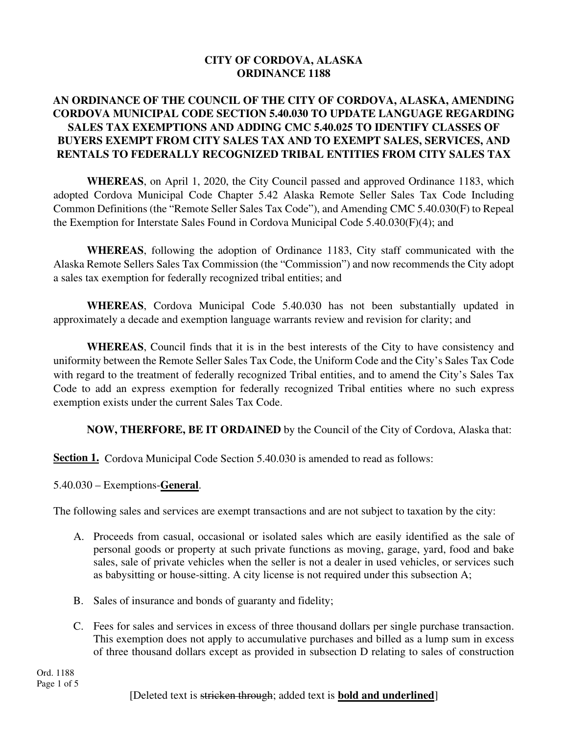#### **CITY OF CORDOVA, ALASKA ORDINANCE 1188**

### **AN ORDINANCE OF THE COUNCIL OF THE CITY OF CORDOVA, ALASKA, AMENDING CORDOVA MUNICIPAL CODE SECTION 5.40.030 TO UPDATE LANGUAGE REGARDING SALES TAX EXEMPTIONS AND ADDING CMC 5.40.025 TO IDENTIFY CLASSES OF BUYERS EXEMPT FROM CITY SALES TAX AND TO EXEMPT SALES, SERVICES, AND RENTALS TO FEDERALLY RECOGNIZED TRIBAL ENTITIES FROM CITY SALES TAX**

**WHEREAS**, on April 1, 2020, the City Council passed and approved Ordinance 1183, which adopted Cordova Municipal Code Chapter 5.42 Alaska Remote Seller Sales Tax Code Including Common Definitions (the "Remote Seller Sales Tax Code"), and Amending CMC 5.40.030(F) to Repeal the Exemption for Interstate Sales Found in Cordova Municipal Code 5.40.030(F)(4); and

**WHEREAS**, following the adoption of Ordinance 1183, City staff communicated with the Alaska Remote Sellers Sales Tax Commission (the "Commission") and now recommends the City adopt a sales tax exemption for federally recognized tribal entities; and

**WHEREAS**, Cordova Municipal Code 5.40.030 has not been substantially updated in approximately a decade and exemption language warrants review and revision for clarity; and

**WHEREAS**, Council finds that it is in the best interests of the City to have consistency and uniformity between the Remote Seller Sales Tax Code, the Uniform Code and the City's Sales Tax Code with regard to the treatment of federally recognized Tribal entities, and to amend the City's Sales Tax Code to add an express exemption for federally recognized Tribal entities where no such express exemption exists under the current Sales Tax Code.

**NOW, THERFORE, BE IT ORDAINED** by the Council of the City of Cordova, Alaska that:

**Section 1.** Cordova Municipal Code Section 5.40.030 is amended to read as follows:

# 5.40.030 – Exemptions-**General**.

The following sales and services are exempt transactions and are not subject to taxation by the city:

- A. Proceeds from casual, occasional or isolated sales which are easily identified as the sale of personal goods or property at such private functions as moving, garage, yard, food and bake sales, sale of private vehicles when the seller is not a dealer in used vehicles, or services such as babysitting or house-sitting. A city license is not required under this subsection A;
- B. Sales of insurance and bonds of guaranty and fidelity;
- C. Fees for sales and services in excess of three thousand dollars per single purchase transaction. This exemption does not apply to accumulative purchases and billed as a lump sum in excess of three thousand dollars except as provided in subsection D relating to sales of construction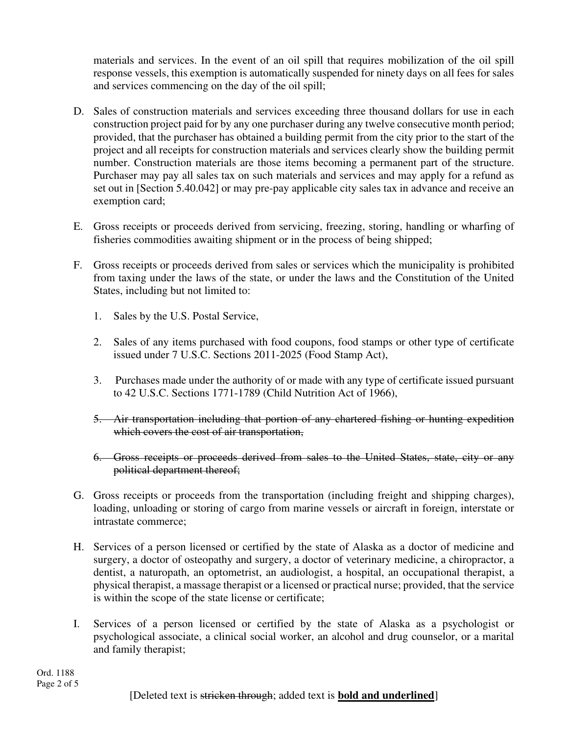materials and services. In the event of an oil spill that requires mobilization of the oil spill response vessels, this exemption is automatically suspended for ninety days on all fees for sales and services commencing on the day of the oil spill;

- D. Sales of construction materials and services exceeding three thousand dollars for use in each construction project paid for by any one purchaser during any twelve consecutive month period; provided, that the purchaser has obtained a building permit from the city prior to the start of the project and all receipts for construction materials and services clearly show the building permit number. Construction materials are those items becoming a permanent part of the structure. Purchaser may pay all sales tax on such materials and services and may apply for a refund as set out in [Section 5.40.042] or may pre-pay applicable city sales tax in advance and receive an exemption card;
- E. Gross receipts or proceeds derived from servicing, freezing, storing, handling or wharfing of fisheries commodities awaiting shipment or in the process of being shipped;
- F. Gross receipts or proceeds derived from sales or services which the municipality is prohibited from taxing under the laws of the state, or under the laws and the Constitution of the United States, including but not limited to:
	- 1. Sales by the U.S. Postal Service,
	- 2. Sales of any items purchased with food coupons, food stamps or other type of certificate issued under 7 U.S.C. Sections 2011-2025 (Food Stamp Act),
	- 3. Purchases made under the authority of or made with any type of certificate issued pursuant to 42 U.S.C. Sections 1771-1789 (Child Nutrition Act of 1966),
	- 5. Air transportation including that portion of any chartered fishing or hunting expedition which covers the cost of air transportation,
	- 6. Gross receipts or proceeds derived from sales to the United States, state, city or any political department thereof;
- G. Gross receipts or proceeds from the transportation (including freight and shipping charges), loading, unloading or storing of cargo from marine vessels or aircraft in foreign, interstate or intrastate commerce;
- H. Services of a person licensed or certified by the state of Alaska as a doctor of medicine and surgery, a doctor of osteopathy and surgery, a doctor of veterinary medicine, a chiropractor, a dentist, a naturopath, an optometrist, an audiologist, a hospital, an occupational therapist, a physical therapist, a massage therapist or a licensed or practical nurse; provided, that the service is within the scope of the state license or certificate;
- I. Services of a person licensed or certified by the state of Alaska as a psychologist or psychological associate, a clinical social worker, an alcohol and drug counselor, or a marital and family therapist;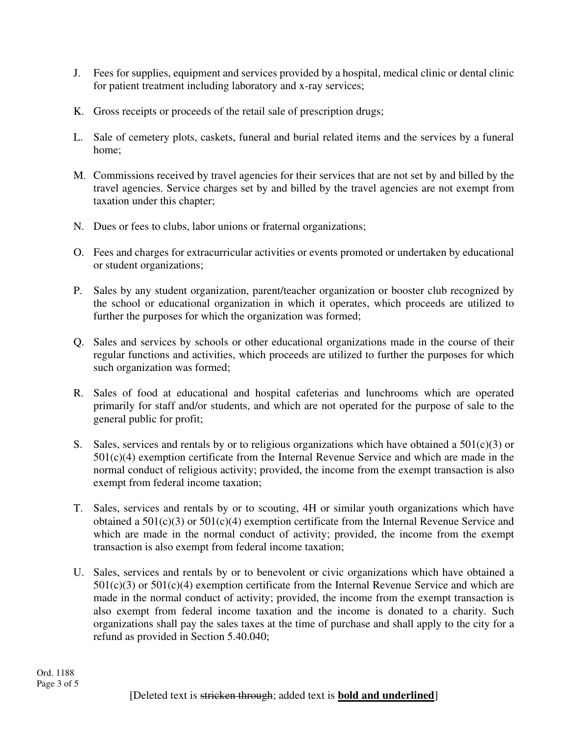- J. Fees for supplies, equipment and services provided by a hospital, medical clinic or dental clinic for patient treatment including laboratory and x-ray services;
- K. Gross receipts or proceeds of the retail sale of prescription drugs;
- L. Sale of cemetery plots, caskets, funeral and burial related items and the services by a funeral home;
- M. Commissions received by travel agencies for their services that are not set by and billed by the travel agencies. Service charges set by and billed by the travel agencies are not exempt from taxation under this chapter;
- N. Dues or fees to clubs, labor unions or fraternal organizations;
- O. Fees and charges for extracurricular activities or events promoted or undertaken by educational or student organizations;
- P. Sales by any student organization, parent/teacher organization or booster club recognized by the school or educational organization in which it operates, which proceeds are utilized to further the purposes for which the organization was formed;
- Q. Sales and services by schools or other educational organizations made in the course of their regular functions and activities, which proceeds are utilized to further the purposes for which such organization was formed;
- R. Sales of food at educational and hospital cafeterias and lunchrooms which are operated primarily for staff and/or students, and which are not operated for the purpose of sale to the general public for profit;
- S. Sales, services and rentals by or to religious organizations which have obtained a  $501(c)(3)$  or  $501(c)(4)$  exemption certificate from the Internal Revenue Service and which are made in the normal conduct of religious activity; provided, the income from the exempt transaction is also exempt from federal income taxation;
- T. Sales, services and rentals by or to scouting, 4H or similar youth organizations which have obtained a 501(c)(3) or 501(c)(4) exemption certificate from the Internal Revenue Service and which are made in the normal conduct of activity; provided, the income from the exempt transaction is also exempt from federal income taxation;
- U. Sales, services and rentals by or to benevolent or civic organizations which have obtained a  $501(c)(3)$  or  $501(c)(4)$  exemption certificate from the Internal Revenue Service and which are made in the normal conduct of activity; provided, the income from the exempt transaction is also exempt from federal income taxation and the income is donated to a charity. Such organizations shall pay the sales taxes at the time of purchase and shall apply to the city for a refund as provided in Section 5.40.040;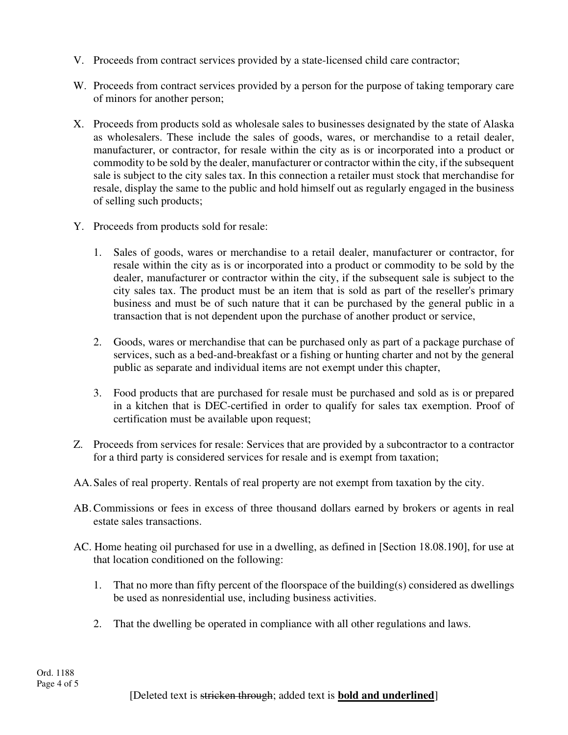- V. Proceeds from contract services provided by a state-licensed child care contractor;
- W. Proceeds from contract services provided by a person for the purpose of taking temporary care of minors for another person;
- X. Proceeds from products sold as wholesale sales to businesses designated by the state of Alaska as wholesalers. These include the sales of goods, wares, or merchandise to a retail dealer, manufacturer, or contractor, for resale within the city as is or incorporated into a product or commodity to be sold by the dealer, manufacturer or contractor within the city, if the subsequent sale is subject to the city sales tax. In this connection a retailer must stock that merchandise for resale, display the same to the public and hold himself out as regularly engaged in the business of selling such products;
- Y. Proceeds from products sold for resale:
	- 1. Sales of goods, wares or merchandise to a retail dealer, manufacturer or contractor, for resale within the city as is or incorporated into a product or commodity to be sold by the dealer, manufacturer or contractor within the city, if the subsequent sale is subject to the city sales tax. The product must be an item that is sold as part of the reseller's primary business and must be of such nature that it can be purchased by the general public in a transaction that is not dependent upon the purchase of another product or service,
	- 2. Goods, wares or merchandise that can be purchased only as part of a package purchase of services, such as a bed-and-breakfast or a fishing or hunting charter and not by the general public as separate and individual items are not exempt under this chapter,
	- 3. Food products that are purchased for resale must be purchased and sold as is or prepared in a kitchen that is DEC-certified in order to qualify for sales tax exemption. Proof of certification must be available upon request;
- Z. Proceeds from services for resale: Services that are provided by a subcontractor to a contractor for a third party is considered services for resale and is exempt from taxation;
- AA. Sales of real property. Rentals of real property are not exempt from taxation by the city.
- AB.Commissions or fees in excess of three thousand dollars earned by brokers or agents in real estate sales transactions.
- AC. Home heating oil purchased for use in a dwelling, as defined in [Section 18.08.190], for use at that location conditioned on the following:
	- 1. That no more than fifty percent of the floorspace of the building(s) considered as dwellings be used as nonresidential use, including business activities.
	- 2. That the dwelling be operated in compliance with all other regulations and laws.